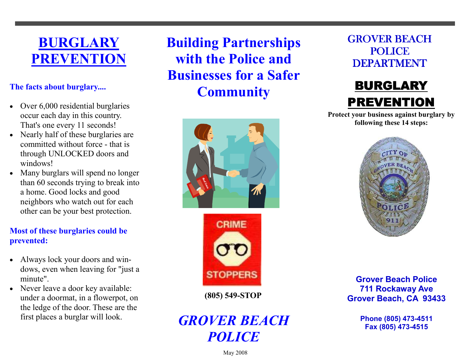# BURGLARY PREVENTION

# The facts about burglary....

- Over 6,000 residential burglaries occur each day in this country. That's one every 11 seconds!
- Nearly half of these burglaries are committed without force - that is through UNLOCKED doors and windows!
- Many burglars will spend no longer than 60 seconds trying to break into a home. Good locks and good neighbors who watch out for each other can be your best protection.

# Most of these burglaries could be prevented:

- Always lock your doors and windows, even when leaving for "just a minute".
- Never leave a door key available: under a doormat, in a flowerpot, on the ledge of the door. These are the first places a burglar will look.

Building Partnerships with the Police and Businesses for a Safer **Community** 





(805) 549-STOP

# GROVER BEACH **POLICE**

GROVER BEACH POLICE **DEPARTMENT** 



 Protect your business against burglary by following these 14 steps:



Grover Beach Police 711 Rockaway Ave Grover Beach, CA 93433

> Phone (805) 473-4511 Fax (805) 473-4515

May 2008